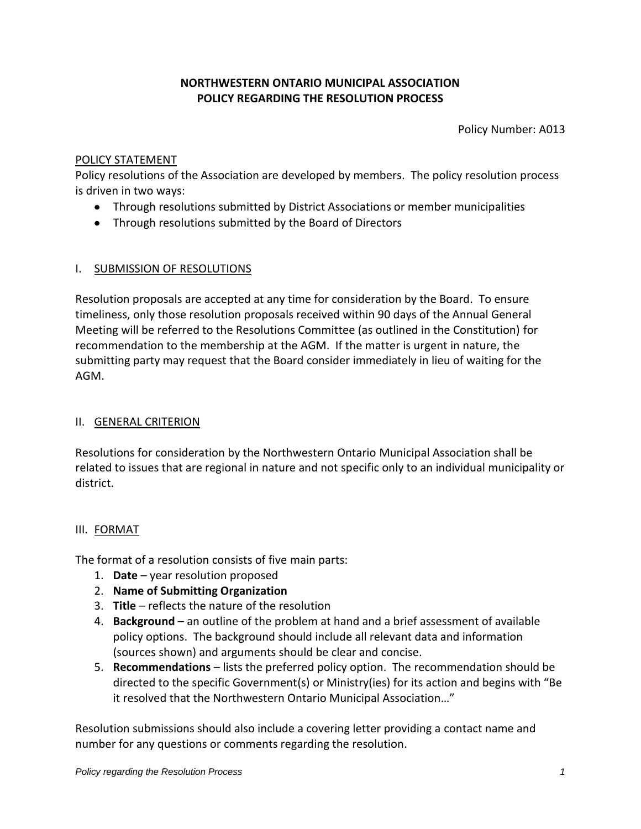# **NORTHWESTERN ONTARIO MUNICIPAL ASSOCIATION POLICY REGARDING THE RESOLUTION PROCESS**

Policy Number: A013

#### POLICY STATEMENT

Policy resolutions of the Association are developed by members. The policy resolution process is driven in two ways:

- Through resolutions submitted by District Associations or member municipalities
- Through resolutions submitted by the Board of Directors

#### I. SUBMISSION OF RESOLUTIONS

Resolution proposals are accepted at any time for consideration by the Board. To ensure timeliness, only those resolution proposals received within 90 days of the Annual General Meeting will be referred to the Resolutions Committee (as outlined in the Constitution) for recommendation to the membership at the AGM. If the matter is urgent in nature, the submitting party may request that the Board consider immediately in lieu of waiting for the AGM.

# II. GENERAL CRITERION

Resolutions for consideration by the Northwestern Ontario Municipal Association shall be related to issues that are regional in nature and not specific only to an individual municipality or district.

# III. FORMAT

The format of a resolution consists of five main parts:

- 1. **Date** year resolution proposed
- 2. **Name of Submitting Organization**
- 3. **Title** reflects the nature of the resolution
- 4. **Background** an outline of the problem at hand and a brief assessment of available policy options. The background should include all relevant data and information (sources shown) and arguments should be clear and concise.
- 5. **Recommendations** lists the preferred policy option. The recommendation should be directed to the specific Government(s) or Ministry(ies) for its action and begins with "Be it resolved that the Northwestern Ontario Municipal Association…"

Resolution submissions should also include a covering letter providing a contact name and number for any questions or comments regarding the resolution.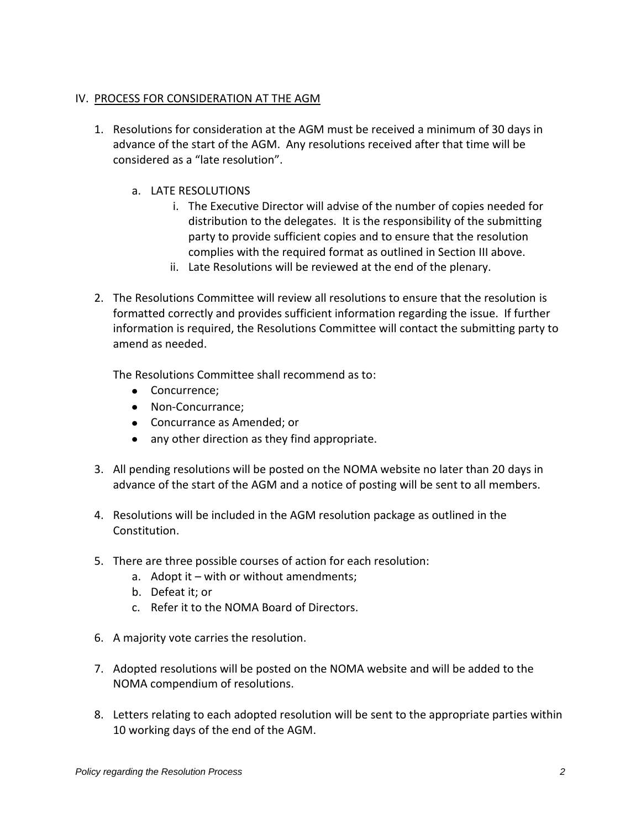### IV. PROCESS FOR CONSIDERATION AT THE AGM

- 1. Resolutions for consideration at the AGM must be received a minimum of 30 days in advance of the start of the AGM. Any resolutions received after that time will be considered as a "late resolution".
	- a. LATE RESOLUTIONS
		- i. The Executive Director will advise of the number of copies needed for distribution to the delegates. It is the responsibility of the submitting party to provide sufficient copies and to ensure that the resolution complies with the required format as outlined in Section III above.
		- ii. Late Resolutions will be reviewed at the end of the plenary.
- 2. The Resolutions Committee will review all resolutions to ensure that the resolution is formatted correctly and provides sufficient information regarding the issue. If further information is required, the Resolutions Committee will contact the submitting party to amend as needed.

The Resolutions Committee shall recommend as to:

- Concurrence;
- Non-Concurrance;
- Concurrance as Amended; or
- any other direction as they find appropriate.
- 3. All pending resolutions will be posted on the NOMA website no later than 20 days in advance of the start of the AGM and a notice of posting will be sent to all members.
- 4. Resolutions will be included in the AGM resolution package as outlined in the Constitution.
- 5. There are three possible courses of action for each resolution:
	- a. Adopt it with or without amendments;
	- b. Defeat it; or
	- c. Refer it to the NOMA Board of Directors.
- 6. A majority vote carries the resolution.
- 7. Adopted resolutions will be posted on the NOMA website and will be added to the NOMA compendium of resolutions.
- 8. Letters relating to each adopted resolution will be sent to the appropriate parties within 10 working days of the end of the AGM.